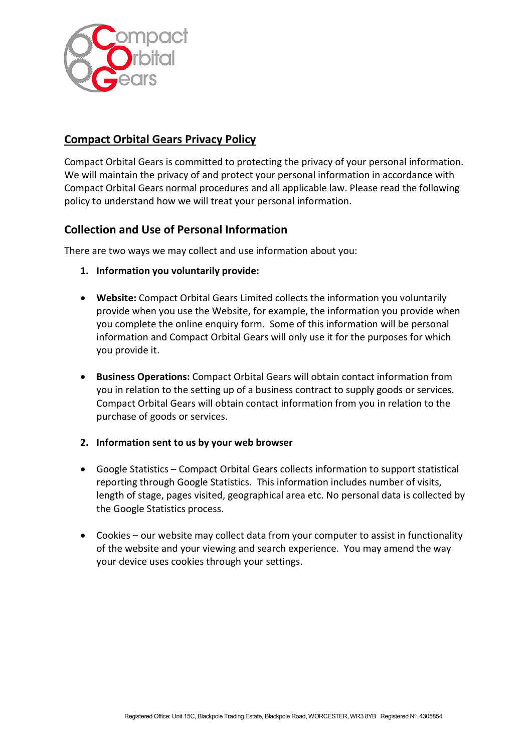

# Compact Orbital Gears Privacy Policy

Compact Orbital Gears is committed to protecting the privacy of your personal information. We will maintain the privacy of and protect your personal information in accordance with Compact Orbital Gears normal procedures and all applicable law. Please read the following policy to understand how we will treat your personal information.

### Collection and Use of Personal Information

There are two ways we may collect and use information about you:

- 1. Information you voluntarily provide:
- Website: Compact Orbital Gears Limited collects the information you voluntarily provide when you use the Website, for example, the information you provide when you complete the online enquiry form. Some of this information will be personal information and Compact Orbital Gears will only use it for the purposes for which you provide it.
- Business Operations: Compact Orbital Gears will obtain contact information from you in relation to the setting up of a business contract to supply goods or services. Compact Orbital Gears will obtain contact information from you in relation to the purchase of goods or services.
- 2. Information sent to us by your web browser
- Google Statistics Compact Orbital Gears collects information to support statistical reporting through Google Statistics. This information includes number of visits, length of stage, pages visited, geographical area etc. No personal data is collected by the Google Statistics process.
- Cookies our website may collect data from your computer to assist in functionality of the website and your viewing and search experience. You may amend the way your device uses cookies through your settings.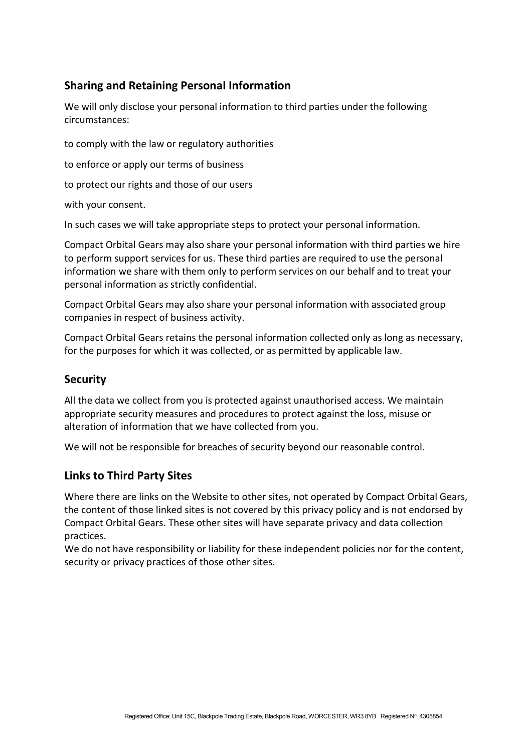# Sharing and Retaining Personal Information

We will only disclose your personal information to third parties under the following circumstances:

to comply with the law or regulatory authorities

to enforce or apply our terms of business

to protect our rights and those of our users

with your consent.

In such cases we will take appropriate steps to protect your personal information.

Compact Orbital Gears may also share your personal information with third parties we hire to perform support services for us. These third parties are required to use the personal information we share with them only to perform services on our behalf and to treat your personal information as strictly confidential.

Compact Orbital Gears may also share your personal information with associated group companies in respect of business activity.

Compact Orbital Gears retains the personal information collected only as long as necessary, for the purposes for which it was collected, or as permitted by applicable law.

#### **Security**

All the data we collect from you is protected against unauthorised access. We maintain appropriate security measures and procedures to protect against the loss, misuse or alteration of information that we have collected from you.

We will not be responsible for breaches of security beyond our reasonable control.

### Links to Third Party Sites

Where there are links on the Website to other sites, not operated by Compact Orbital Gears, the content of those linked sites is not covered by this privacy policy and is not endorsed by Compact Orbital Gears. These other sites will have separate privacy and data collection practices.

We do not have responsibility or liability for these independent policies nor for the content, security or privacy practices of those other sites.